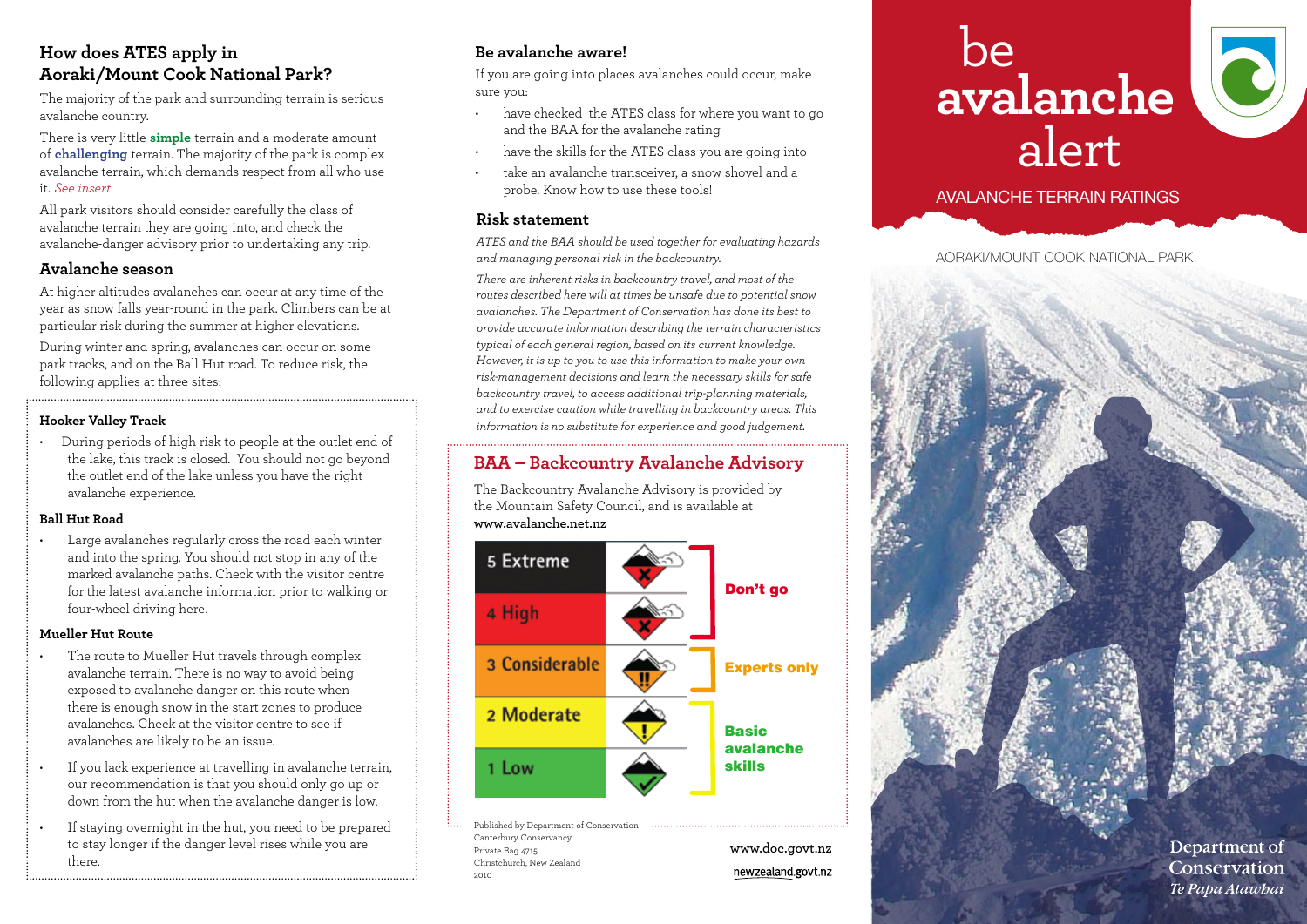# **How does ATES apply in Aoraki/Mount Cook National Park?**

The majority of the park and surrounding terrain is serious avalanche country.

There is very little **simple** terrain and a moderate amount of **challenging** terrain. The majority of the park is complex avalanche terrain, which demands respect from all who use it. *See insert* 

All park visitors should consider carefully the class of avalanche terrain they are going into, and check the avalanche-danger advisory prior to undertaking any trip.

### **Avalanche season**

At higher altitudes avalanches can occur at any time of the year as snow falls year-round in the park. Climbers can be at particular risk during the summer at higher elevations.

During winter and spring, avalanches can occur on some park tracks, and on the Ball Hut road. To reduce risk, the following applies at three sites:

### **Hooker Valley Track**

During periods of high risk to people at the outlet end of the lake, this track is closed. You should not go beyond the outlet end of the lake unless you have the right avalanche experience.

#### **Ball Hut Road**

Large avalanches regularly cross the road each winter and into the spring. You should not stop in any of the marked avalanche paths. Check with the visitor centre for the latest avalanche information prior to walking or four-wheel driving here.

#### **Mueller Hut Route**

- The route to Mueller Hut travels through complex avalanche terrain. There is no way to avoid being exposed to avalanche danger on this route when there is enough snow in the start zones to produce avalanches. Check at the visitor centre to see if avalanches are likely to be an issue.
- If you lack experience at travelling in avalanche terrain, our recommendation is that you should only go up or down from the hut when the avalanche danger is low.
- If staying overnight in the hut, you need to be prepared to stay longer if the danger level rises while you are there.

## **Be avalanche aware!**

If you are going into places avalanches could occur, make sure you:

- • have checked the ATES class for where you want to go and the BAA for the avalanche rating
- have the skills for the ATES class you are going into
- take an avalanche transceiver, a snow shovel and a probe. Know how to use these tools!

#### **Risk statement**

*ATES and the BAA should be used together for evaluating hazards and managing personal risk in the backcountry.*

*There are inherent risks in backcountry travel, and most of the routes described here will at times be unsafe due to potential snow avalanches. The Department of Conservation has done its best to provide accurate information describing the terrain characteristics typical of each general region, based on its current knowledge. However, it is up to you to use this information to make your own risk-management decisions and learn the necessary skills for safe backcountry travel, to access additional trip-planning materials, and to exercise caution while travelling in backcountry areas. This information is no substitute for experience and good judgement.*

# **BAA – Backcountry Avalanche Advisory**

The Backcountry Avalanche Advisory is provided by the Mountain Safety Council, and is available at **www.avalanche.net.nz**



Published by Department of Conservation Canterbury Conservancy Private Bag 4715 Christchurch, New Zealand 2010

**www.doc.govt.nz** newzealand.govt.nz

# be **avalanche** alert



## avalanche terrain ratings

aoraki/mount cook national park